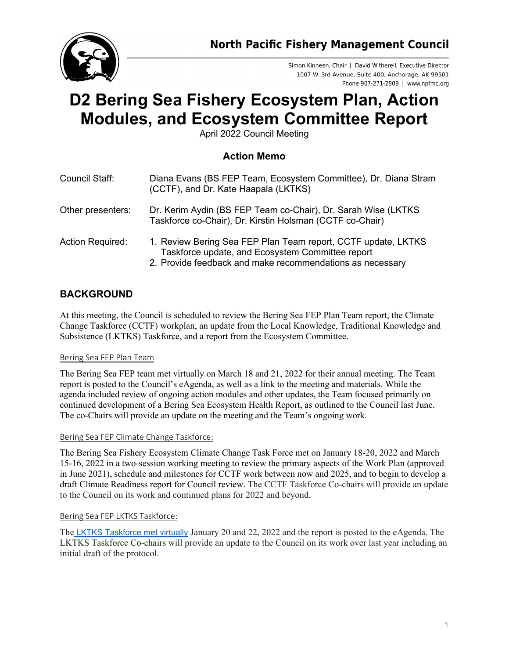

Simon Kinneen, Chair | David Witherell, Executive Director 1007 W. 3rd Avenue, Suite 400, Anchorage, AK 99501 Phone 907-271-2809 | www.npfmc.org

# **D2 Bering Sea Fishery Ecosystem Plan, Action Modules, and Ecosystem Committee Report**

April 2022 Council Meeting

## **Action Memo**

| Council Staff:          | Diana Evans (BS FEP Team, Ecosystem Committee), Dr. Diana Stram<br>(CCTF), and Dr. Kate Haapala (LKTKS)                                                                        |
|-------------------------|--------------------------------------------------------------------------------------------------------------------------------------------------------------------------------|
| Other presenters:       | Dr. Kerim Aydin (BS FEP Team co-Chair), Dr. Sarah Wise (LKTKS)<br>Taskforce co-Chair), Dr. Kirstin Holsman (CCTF co-Chair)                                                     |
| <b>Action Required:</b> | 1. Review Bering Sea FEP Plan Team report, CCTF update, LKTKS<br>Taskforce update, and Ecosystem Committee report<br>2. Provide feedback and make recommendations as necessary |

## **BACKGROUND**

At this meeting, the Council is scheduled to review the Bering Sea FEP Plan Team report, the Climate Change Taskforce (CCTF) workplan, an update from the Local Knowledge, Traditional Knowledge and Subsistence (LKTKS) Taskforce, and a report from the Ecosystem Committee.

### Bering Sea FEP Plan Team

The Bering Sea FEP team met virtually on March 18 and 21, 2022 for their annual meeting. The Team report is posted to the Council's eAgenda, as well as a link to the meeting and materials. While the agenda included review of ongoing action modules and other updates, the Team focused primarily on continued development of a Bering Sea Ecosystem Health Report, as outlined to the Council last June. The co-Chairs will provide an update on the meeting and the Team's ongoing work.

### Bering Sea FEP Climate Change Taskforce:

The Bering Sea Fishery Ecosystem Climate Change Task Force met on January 18-20, 2022 and March 15-16, 2022 in a two-session working meeting to review the primary aspects of the Work Plan (approved in June 2021), schedule and milestones for CCTF work between now and 2025, and to begin to develop a draft Climate Readiness report for Council review. The CCTF Taskforce Co-chairs will provide an update to the Council on its work and continued plans for 2022 and beyond.

### Bering Sea FEP LKTKS Taskforce:

The [LKTKS Taskforce met virtually](https://meetings.npfmc.org/Meeting/Details/2735) January 20 and 22, 2022 and the report is posted to the eAgenda. The LKTKS Taskforce Co-chairs will provide an update to the Council on its work over last year including an initial draft of the protocol.